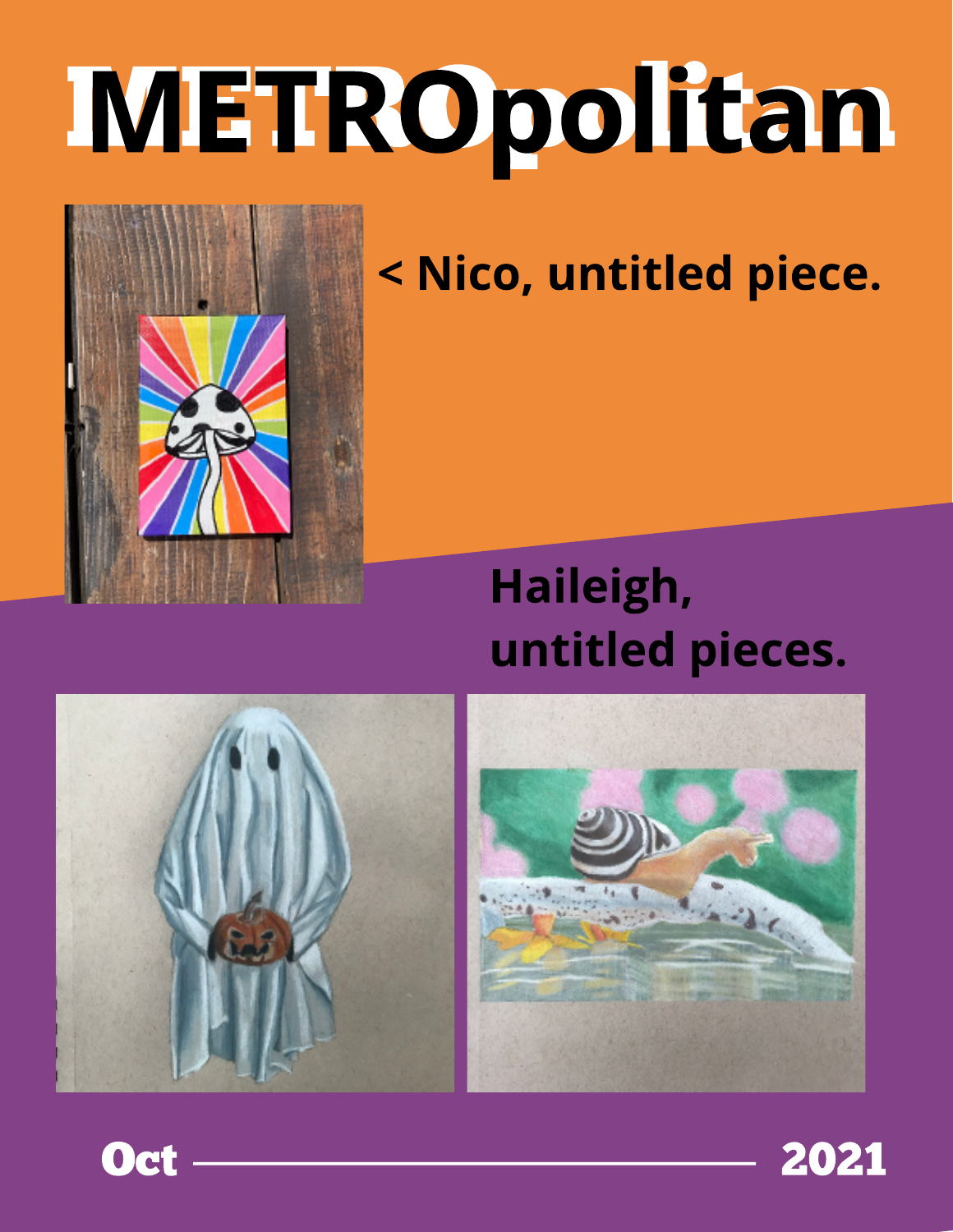# METROpolitan

### < Nico, untitled piece.

#### Haileigh, untitled pieces.







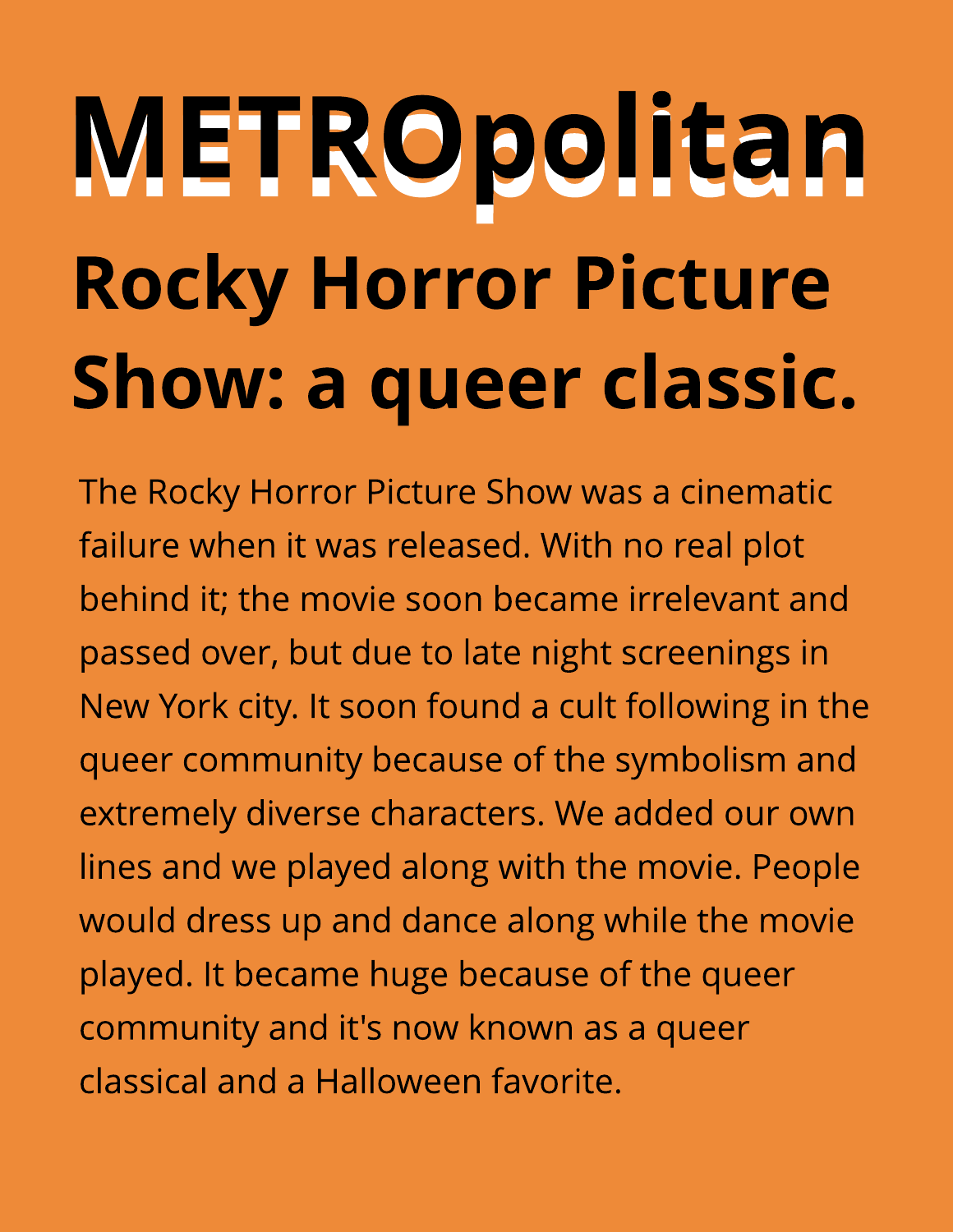### METROPOI itan **Rocky Horror Picture** Show: a queer classic.

The Rocky Horror Picture Show was a cinematic failure when it was released. With no real plot behind it; the movie soon became irrelevant and passed over, but due to late night screenings in New York city. It soon found a cult following in the queer community because of the symbolism and extremely diverse characters. We added our own lines and we played along with the movie. People would dress up and dance along while the movie played. It became huge because of the queer community and it's now known as a queer classical and a Halloween favorite.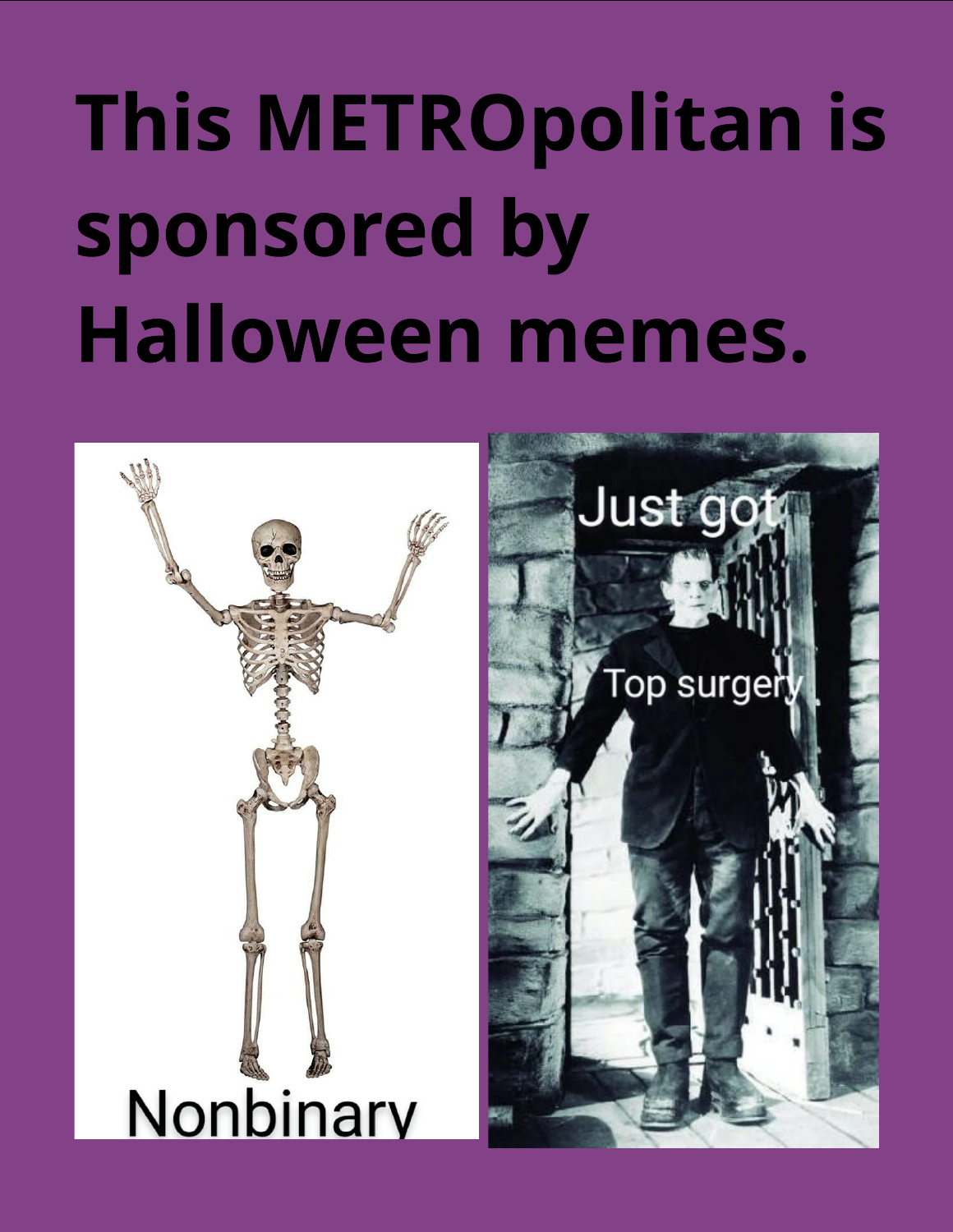## **This METROpolitan is** sponsored by Halloween memes.



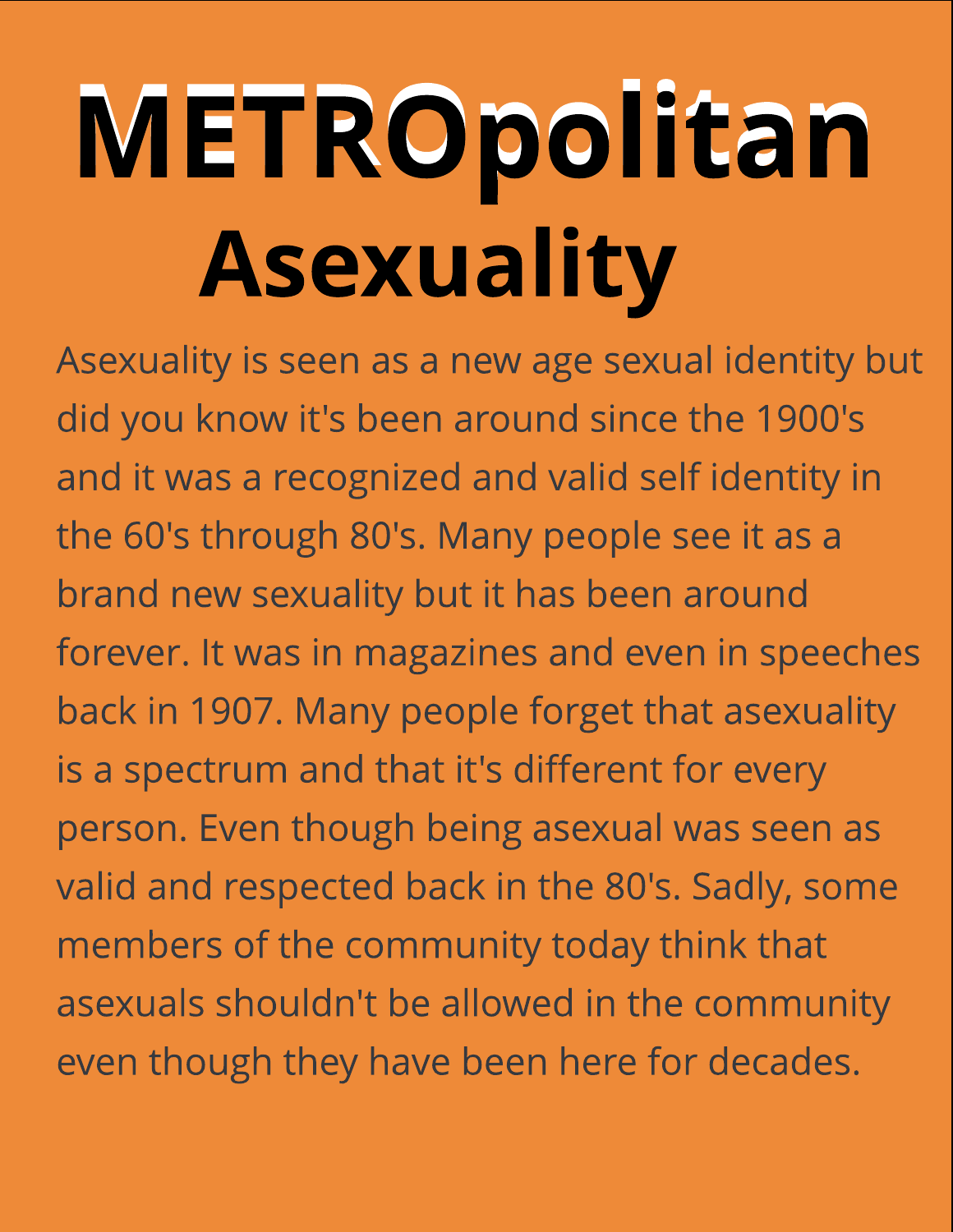## METROpolitan Asexuality

Asexuality is seen as a new age sexual identity but did you know it's been around since the 1900's and it was a recognized and valid self identity in the 60's through 80's. Many people see it as a brand new sexuality but it has been around forever. It was in magazines and even in speeches back in 1907. Many people forget that asexuality is a spectrum and that it's different for every person. Even though being asexual was seen as valid and respected back in the 80's. Sadly, some members of the community today think that asexuals shouldn't be allowed in the community even though they have been here for decades.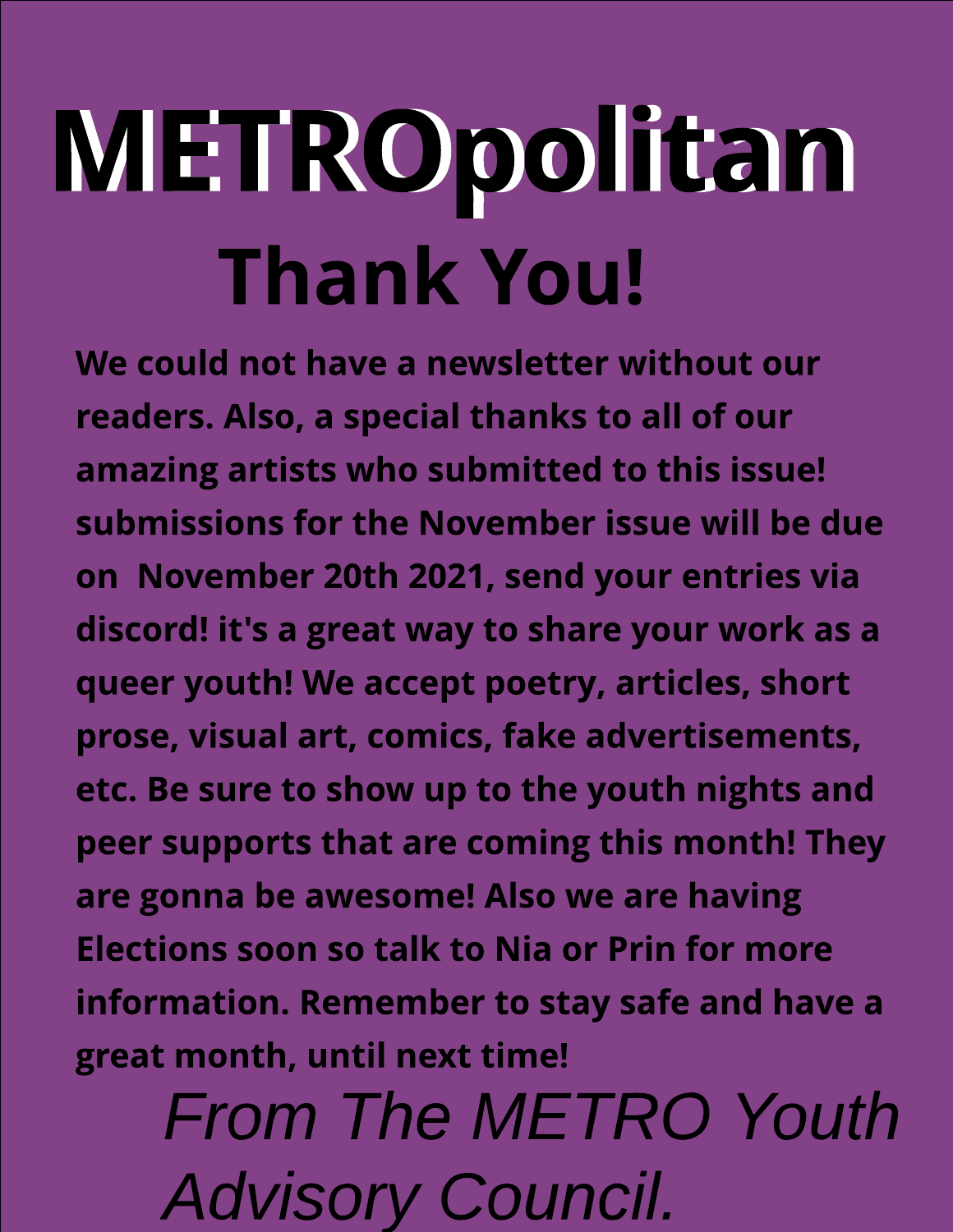## METROpolitan Thank You!

We could not have a newsletter without our readers. Also, a special thanks to all of our amazing artists who submitted to this issue! submissions for the November issue will be due on November 20th 2021, send your entries via discord! it's a great way to share your work as a queer youth! We accept poetry, articles, short prose, visual art, comics, fake advertisements, etc. Be sure to show up to the youth nights and peer supports that are coming this month! They are gonna be awesome! Also we are having Elections soon so talk to Nia or Prin for more information. Remember to stay safe and have a great month, until next time!

**From The METRO Youth Advisory Council.**